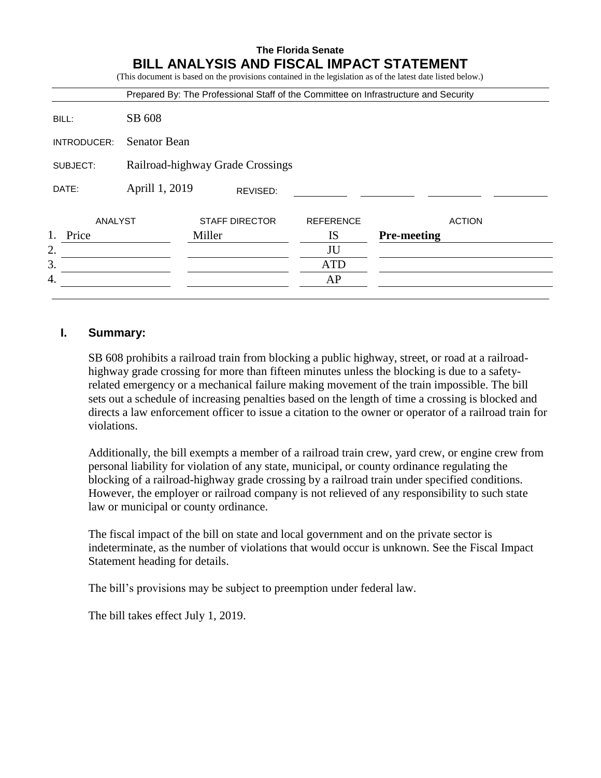|             |                                  |        |                       | <b>The Florida Senate</b> | <b>BILL ANALYSIS AND FISCAL IMPACT STATEMENT</b><br>(This document is based on the provisions contained in the legislation as of the latest date listed below.) |  |
|-------------|----------------------------------|--------|-----------------------|---------------------------|-----------------------------------------------------------------------------------------------------------------------------------------------------------------|--|
|             |                                  |        |                       |                           | Prepared By: The Professional Staff of the Committee on Infrastructure and Security                                                                             |  |
| BILL:       | SB 608                           |        |                       |                           |                                                                                                                                                                 |  |
| INTRODUCER: | <b>Senator Bean</b>              |        |                       |                           |                                                                                                                                                                 |  |
| SUBJECT:    | Railroad-highway Grade Crossings |        |                       |                           |                                                                                                                                                                 |  |
| DATE:       | Aprill 1, 2019                   |        | REVISED:              |                           |                                                                                                                                                                 |  |
| ANALYST     |                                  |        | <b>STAFF DIRECTOR</b> | <b>REFERENCE</b>          | <b>ACTION</b>                                                                                                                                                   |  |
| Price       |                                  | Miller |                       | IS                        | <b>Pre-meeting</b>                                                                                                                                              |  |
| 2.          |                                  |        |                       | JU                        |                                                                                                                                                                 |  |
| 3.          |                                  |        |                       | <b>ATD</b>                |                                                                                                                                                                 |  |
| 4.          |                                  |        |                       | AP                        |                                                                                                                                                                 |  |

# **I. Summary:**

SB 608 prohibits a railroad train from blocking a public highway, street, or road at a railroadhighway grade crossing for more than fifteen minutes unless the blocking is due to a safetyrelated emergency or a mechanical failure making movement of the train impossible. The bill sets out a schedule of increasing penalties based on the length of time a crossing is blocked and directs a law enforcement officer to issue a citation to the owner or operator of a railroad train for violations.

Additionally, the bill exempts a member of a railroad train crew, yard crew, or engine crew from personal liability for violation of any state, municipal, or county ordinance regulating the blocking of a railroad-highway grade crossing by a railroad train under specified conditions. However, the employer or railroad company is not relieved of any responsibility to such state law or municipal or county ordinance.

The fiscal impact of the bill on state and local government and on the private sector is indeterminate, as the number of violations that would occur is unknown. See the Fiscal Impact Statement heading for details.

The bill's provisions may be subject to preemption under federal law.

The bill takes effect July 1, 2019.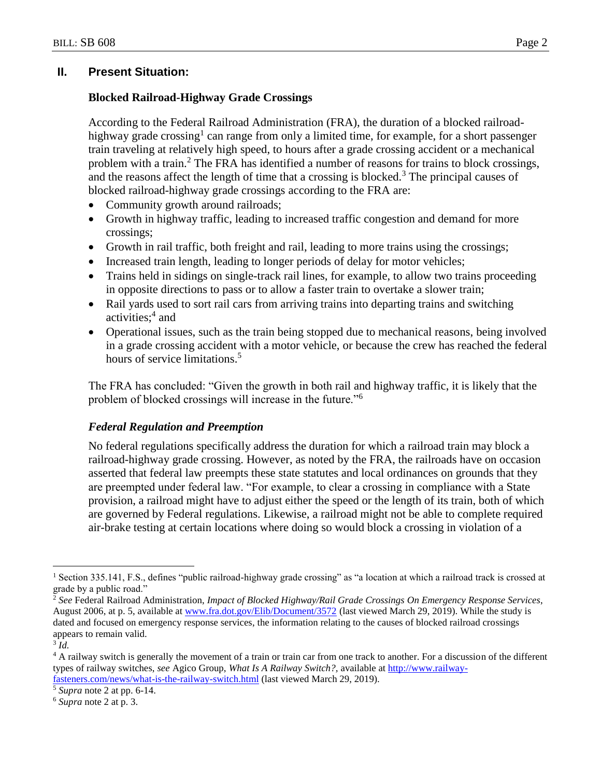# **II. Present Situation:**

## **Blocked Railroad-Highway Grade Crossings**

According to the Federal Railroad Administration (FRA), the duration of a blocked railroadhighway grade crossing<sup>1</sup> can range from only a limited time, for example, for a short passenger train traveling at relatively high speed, to hours after a grade crossing accident or a mechanical problem with a train.<sup>2</sup> The FRA has identified a number of reasons for trains to block crossings, and the reasons affect the length of time that a crossing is blocked.<sup>3</sup> The principal causes of blocked railroad-highway grade crossings according to the FRA are:

- Community growth around railroads;
- Growth in highway traffic, leading to increased traffic congestion and demand for more crossings;
- Growth in rail traffic, both freight and rail, leading to more trains using the crossings;
- Increased train length, leading to longer periods of delay for motor vehicles;
- Trains held in sidings on single-track rail lines, for example, to allow two trains proceeding in opposite directions to pass or to allow a faster train to overtake a slower train;
- Rail yards used to sort rail cars from arriving trains into departing trains and switching activities; 4 and
- Operational issues, such as the train being stopped due to mechanical reasons, being involved in a grade crossing accident with a motor vehicle, or because the crew has reached the federal hours of service limitations.<sup>5</sup>

The FRA has concluded: "Given the growth in both rail and highway traffic, it is likely that the problem of blocked crossings will increase in the future."<sup>6</sup>

## *Federal Regulation and Preemption*

No federal regulations specifically address the duration for which a railroad train may block a railroad-highway grade crossing. However, as noted by the FRA, the railroads have on occasion asserted that federal law preempts these state statutes and local ordinances on grounds that they are preempted under federal law. "For example, to clear a crossing in compliance with a State provision, a railroad might have to adjust either the speed or the length of its train, both of which are governed by Federal regulations. Likewise, a railroad might not be able to complete required air-brake testing at certain locations where doing so would block a crossing in violation of a

 $\overline{a}$ 

<sup>&</sup>lt;sup>1</sup> Section 335.141, F.S., defines "public railroad-highway grade crossing" as "a location at which a railroad track is crossed at grade by a public road."

<sup>2</sup> *See* Federal Railroad Administration, *Impact of Blocked Highway/Rail Grade Crossings On Emergency Response Services*, August 2006, at p. 5, available at [www.fra.dot.gov/Elib/Document/3572](http://www.fra.dot.gov/Elib/Document/3572) (last viewed March 29, 2019). While the study is dated and focused on emergency response services, the information relating to the causes of blocked railroad crossings appears to remain valid.

<sup>3</sup> *Id.*

<sup>&</sup>lt;sup>4</sup> A railway switch is generally the movement of a train or train car from one track to another. For a discussion of the different types of railway switches, *see* Agico Group, *What Is A Railway Switch?,* available at [http://www.railway](http://www.railway-fasteners.com/news/what-is-the-railway-switch.html)[fasteners.com/news/what-is-the-railway-switch.html](http://www.railway-fasteners.com/news/what-is-the-railway-switch.html) (last viewed March 29, 2019).

<sup>5</sup> *Supra* note 2 at pp. 6-14.

<sup>6</sup> *Supra* note 2 at p. 3.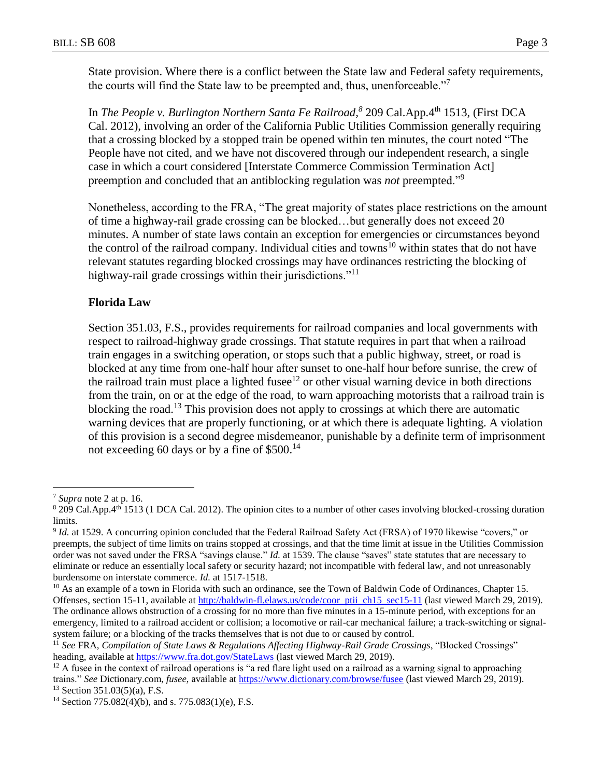State provision. Where there is a conflict between the State law and Federal safety requirements, the courts will find the State law to be preempted and, thus, unenforceable."<sup>7</sup>

In *The People v. Burlington Northern Santa Fe Railroad*,<sup>8</sup> 209 Cal.App.4<sup>th</sup> 1513, (First DCA Cal. 2012), involving an order of the California Public Utilities Commission generally requiring that a crossing blocked by a stopped train be opened within ten minutes, the court noted "The People have not cited, and we have not discovered through our independent research, a single case in which a court considered [Interstate Commerce Commission Termination Act] preemption and concluded that an antiblocking regulation was *not* preempted."<sup>9</sup>

Nonetheless, according to the FRA, "The great majority of states place restrictions on the amount of time a highway-rail grade crossing can be blocked…but generally does not exceed 20 minutes. A number of state laws contain an exception for emergencies or circumstances beyond the control of the railroad company. Individual cities and towns<sup>10</sup> within states that do not have relevant statutes regarding blocked crossings may have ordinances restricting the blocking of highway-rail grade crossings within their jurisdictions."<sup>11</sup>

#### **Florida Law**

Section 351.03, F.S., provides requirements for railroad companies and local governments with respect to railroad-highway grade crossings. That statute requires in part that when a railroad train engages in a switching operation, or stops such that a public highway, street, or road is blocked at any time from one-half hour after sunset to one-half hour before sunrise, the crew of the railroad train must place a lighted fusee<sup>12</sup> or other visual warning device in both directions from the train, on or at the edge of the road, to warn approaching motorists that a railroad train is blocking the road.<sup>13</sup> This provision does not apply to crossings at which there are automatic warning devices that are properly functioning, or at which there is adequate lighting. A violation of this provision is a second degree misdemeanor, punishable by a definite term of imprisonment not exceeding 60 days or by a fine of \$500.<sup>14</sup>

 $\overline{a}$ 

<sup>7</sup> *Supra* note 2 at p. 16.

 $8$  209 Cal.App.4<sup>th</sup> 1513 (1 DCA Cal. 2012). The opinion cites to a number of other cases involving blocked-crossing duration limits.

<sup>&</sup>lt;sup>9</sup> Id. at 1529. A concurring opinion concluded that the Federal Railroad Safety Act (FRSA) of 1970 likewise "covers," or preempts, the subject of time limits on trains stopped at crossings, and that the time limit at issue in the Utilities Commission order was not saved under the FRSA "savings clause." *Id.* at 1539. The clause "saves" state statutes that are necessary to eliminate or reduce an essentially local safety or security hazard; not incompatible with federal law, and not unreasonably burdensome on interstate commerce. *Id.* at 1517-1518.

<sup>&</sup>lt;sup>10</sup> As an example of a town in Florida with such an ordinance, see the Town of Baldwin Code of Ordinances, Chapter 15. Offenses, section 15-11, available at [http://baldwin-fl.elaws.us/code/coor\\_ptii\\_ch15\\_sec15-11](http://baldwin-fl.elaws.us/code/coor_ptii_ch15_sec15-11) (last viewed March 29, 2019). The ordinance allows obstruction of a crossing for no more than five minutes in a 15-minute period, with exceptions for an emergency, limited to a railroad accident or collision; a locomotive or rail-car mechanical failure; a track-switching or signalsystem failure; or a blocking of the tracks themselves that is not due to or caused by control.

<sup>11</sup> *See* FRA, *Compilation of State Laws & Regulations Affecting Highway-Rail Grade Crossings*, "Blocked Crossings" heading, available at<https://www.fra.dot.gov/StateLaws> (last viewed March 29, 2019).

 $12$  A fusee in the context of railroad operations is "a red flare light used on a railroad as a warning signal to approaching trains." *See* Dictionary.com, *fusee,* available at<https://www.dictionary.com/browse/fusee> (last viewed March 29, 2019).  $13$  Section 351.03(5)(a), F.S.

<sup>14</sup> Section 775.082(4)(b), and s. 775.083(1)(e), F.S.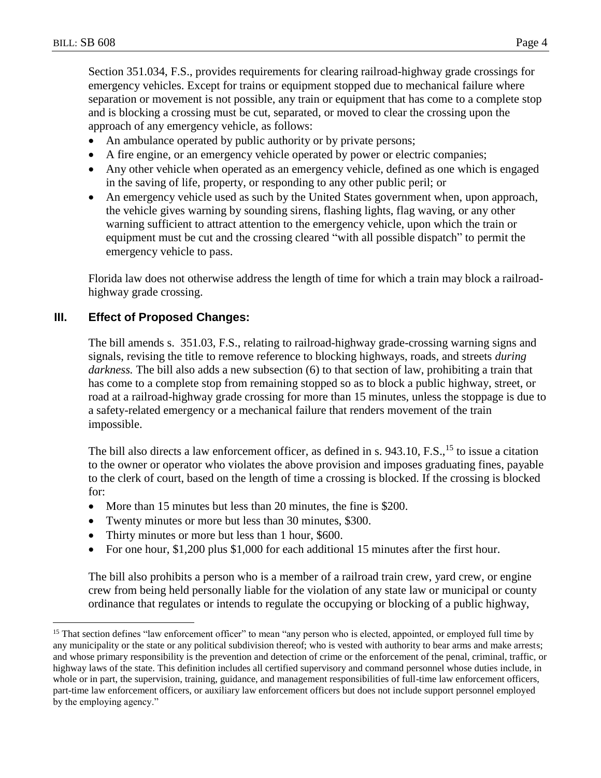$\overline{a}$ 

Section 351.034, F.S., provides requirements for clearing railroad-highway grade crossings for emergency vehicles. Except for trains or equipment stopped due to mechanical failure where separation or movement is not possible, any train or equipment that has come to a complete stop and is blocking a crossing must be cut, separated, or moved to clear the crossing upon the approach of any emergency vehicle, as follows:

- An ambulance operated by public authority or by private persons;
- A fire engine, or an emergency vehicle operated by power or electric companies;
- Any other vehicle when operated as an emergency vehicle, defined as one which is engaged in the saving of life, property, or responding to any other public peril; or
- An emergency vehicle used as such by the United States government when, upon approach, the vehicle gives warning by sounding sirens, flashing lights, flag waving, or any other warning sufficient to attract attention to the emergency vehicle, upon which the train or equipment must be cut and the crossing cleared "with all possible dispatch" to permit the emergency vehicle to pass.

Florida law does not otherwise address the length of time for which a train may block a railroadhighway grade crossing.

# **III. Effect of Proposed Changes:**

The bill amends s. 351.03, F.S., relating to railroad-highway grade-crossing warning signs and signals, revising the title to remove reference to blocking highways, roads, and streets *during darkness.* The bill also adds a new subsection (6) to that section of law, prohibiting a train that has come to a complete stop from remaining stopped so as to block a public highway, street, or road at a railroad-highway grade crossing for more than 15 minutes, unless the stoppage is due to a safety-related emergency or a mechanical failure that renders movement of the train impossible.

The bill also directs a law enforcement officer, as defined in s. 943.10, F.S.,<sup>15</sup> to issue a citation to the owner or operator who violates the above provision and imposes graduating fines, payable to the clerk of court, based on the length of time a crossing is blocked. If the crossing is blocked for:

- More than 15 minutes but less than 20 minutes, the fine is \$200.
- Twenty minutes or more but less than 30 minutes, \$300.
- Thirty minutes or more but less than 1 hour, \$600.
- For one hour, \$1,200 plus \$1,000 for each additional 15 minutes after the first hour.

The bill also prohibits a person who is a member of a railroad train crew, yard crew, or engine crew from being held personally liable for the violation of any state law or municipal or county ordinance that regulates or intends to regulate the occupying or blocking of a public highway,

<sup>&</sup>lt;sup>15</sup> That section defines "law enforcement officer" to mean "any person who is elected, appointed, or employed full time by any municipality or the state or any political subdivision thereof; who is vested with authority to bear arms and make arrests; and whose primary responsibility is the prevention and detection of crime or the enforcement of the penal, criminal, traffic, or highway laws of the state. This definition includes all certified supervisory and command personnel whose duties include, in whole or in part, the supervision, training, guidance, and management responsibilities of full-time law enforcement officers, part-time law enforcement officers, or auxiliary law enforcement officers but does not include support personnel employed by the employing agency."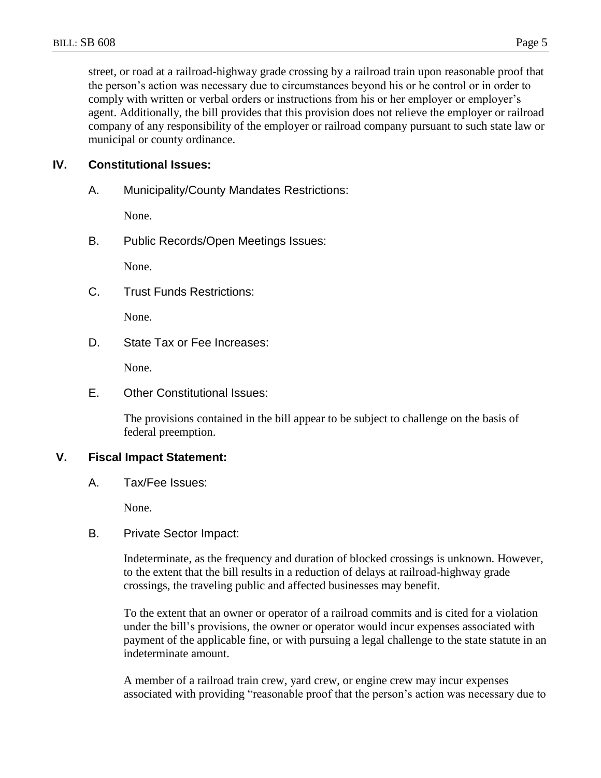street, or road at a railroad-highway grade crossing by a railroad train upon reasonable proof that the person's action was necessary due to circumstances beyond his or he control or in order to comply with written or verbal orders or instructions from his or her employer or employer's agent. Additionally, the bill provides that this provision does not relieve the employer or railroad company of any responsibility of the employer or railroad company pursuant to such state law or municipal or county ordinance.

# **IV. Constitutional Issues:**

A. Municipality/County Mandates Restrictions:

None.

B. Public Records/Open Meetings Issues:

None.

C. Trust Funds Restrictions:

None.

D. State Tax or Fee Increases:

None.

E. Other Constitutional Issues:

The provisions contained in the bill appear to be subject to challenge on the basis of federal preemption.

## **V. Fiscal Impact Statement:**

A. Tax/Fee Issues:

None.

B. Private Sector Impact:

Indeterminate, as the frequency and duration of blocked crossings is unknown. However, to the extent that the bill results in a reduction of delays at railroad-highway grade crossings, the traveling public and affected businesses may benefit.

To the extent that an owner or operator of a railroad commits and is cited for a violation under the bill's provisions, the owner or operator would incur expenses associated with payment of the applicable fine, or with pursuing a legal challenge to the state statute in an indeterminate amount.

A member of a railroad train crew, yard crew, or engine crew may incur expenses associated with providing "reasonable proof that the person's action was necessary due to